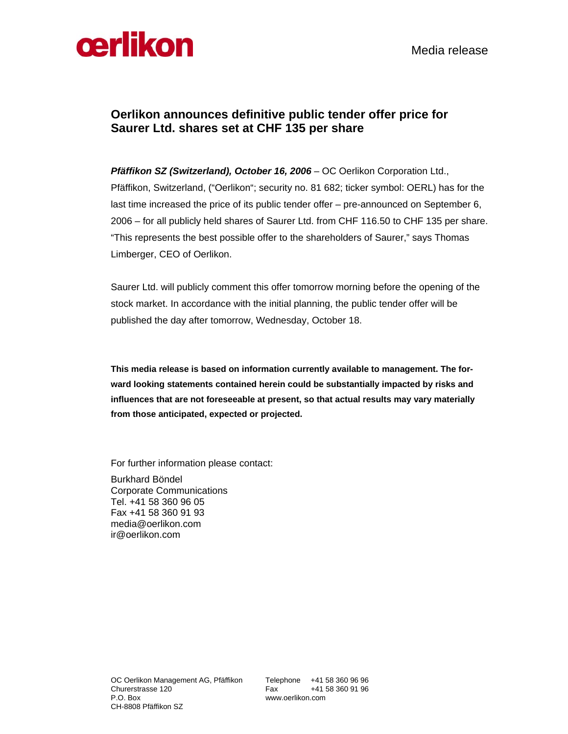

## **Oerlikon announces definitive public tender offer price for Saurer Ltd. shares set at CHF 135 per share**

*Pfäffikon SZ (Switzerland), October 16, 2006 –* OC Oerlikon Corporation Ltd., Pfäffikon, Switzerland, ("Oerlikon"; security no. 81 682; ticker symbol: OERL) has for the last time increased the price of its public tender offer – pre-announced on September 6, 2006 – for all publicly held shares of Saurer Ltd. from CHF 116.50 to CHF 135 per share. "This represents the best possible offer to the shareholders of Saurer," says Thomas Limberger, CEO of Oerlikon.

Saurer Ltd. will publicly comment this offer tomorrow morning before the opening of the stock market. In accordance with the initial planning, the public tender offer will be published the day after tomorrow, Wednesday, October 18.

**This media release is based on information currently available to management. The forward looking statements contained herein could be substantially impacted by risks and influences that are not foreseeable at present, so that actual results may vary materially from those anticipated, expected or projected.** 

For further information please contact:

Burkhard Böndel Corporate Communications Tel. +41 58 360 96 05 Fax +41 58 360 91 93 media@oerlikon.com ir@oerlikon.com